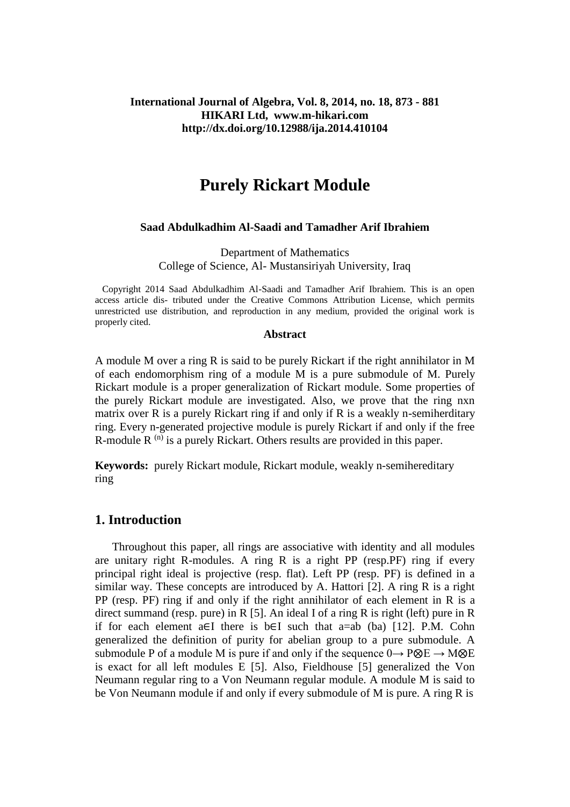## **International Journal of Algebra, Vol. 8, 2014, no. 18, 873 - 881 HIKARI Ltd, www.m-hikari.com http://dx.doi.org/10.12988/ija.2014.410104**

# **Purely Rickart Module**

#### **Saad Abdulkadhim Al-Saadi and Tamadher Arif Ibrahiem**

Department of Mathematics College of Science, Al- Mustansiriyah University, Iraq

Copyright 2014 Saad Abdulkadhim Al-Saadi and Tamadher Arif Ibrahiem. This is an open access article dis- tributed under the Creative Commons Attribution License, which permits unrestricted use distribution, and reproduction in any medium, provided the original work is properly cited.

#### **Abstract**

A module M over a ring R is said to be purely Rickart if the right annihilator in M of each endomorphism ring of a module M is a pure submodule of M. Purely Rickart module is a proper generalization of Rickart module. Some properties of the purely Rickart module are investigated. Also, we prove that the ring nxn matrix over R is a purely Rickart ring if and only if R is a weakly n-semiherditary ring. Every n-generated projective module is purely Rickart if and only if the free R-module R  $^{(n)}$  is a purely Rickart. Others results are provided in this paper.

**Keywords:** purely Rickart module, Rickart module, weakly n-semihereditary ring

# **1. Introduction**

 Throughout this paper, all rings are associative with identity and all modules are unitary right R-modules. A ring R is a right PP (resp.PF) ring if every principal right ideal is projective (resp. flat). Left PP (resp. PF) is defined in a similar way. These concepts are introduced by A. Hattori  $[2]$ . A ring R is a right PP (resp. PF) ring if and only if the right annihilator of each element in R is a direct summand (resp. pure) in R [5]. An ideal I of a ring R is right (left) pure in R if for each element a∈I there is b∈I such that a=ab (ba) [12]. P.M. Cohn generalized the definition of purity for abelian group to a pure submodule. A submodule P of a module M is pure if and only if the sequence  $0 \rightarrow P \otimes E \rightarrow M \otimes E$ is exact for all left modules E [5]. Also, Fieldhouse [5] generalized the Von Neumann regular ring to a Von Neumann regular module. A module M is said to be Von Neumann module if and only if every submodule of M is pure. A ring R is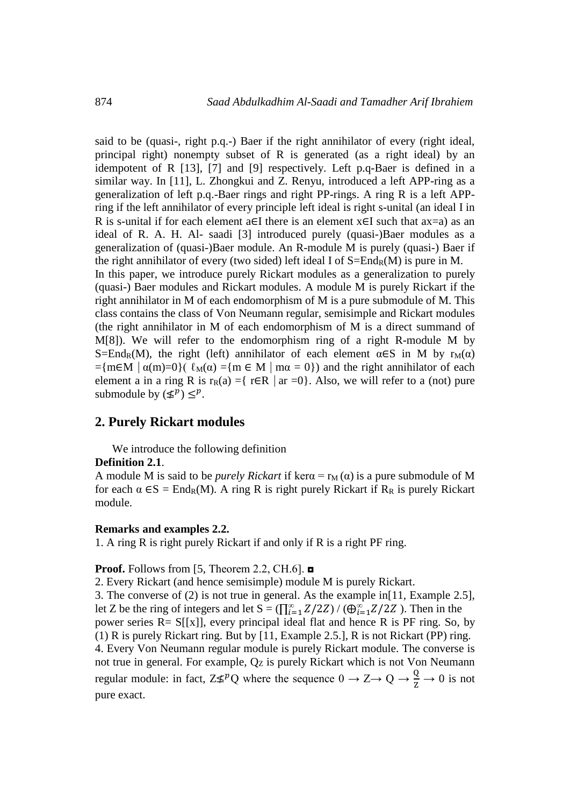said to be (quasi-, right p.q.-) Baer if the right annihilator of every (right ideal, principal right) nonempty subset of R is generated (as a right ideal) by an idempotent of R [13], [7] and [9] respectively. Left p.q-Baer is defined in a similar way. In [11], L. Zhongkui and Z. Renyu, introduced a left APP-ring as a generalization of left p.q.-Baer rings and right PP-rings. A ring R is a left APPring if the left annihilator of every principle left ideal is right s-unital (an ideal I in R is s-unital if for each element a∈I there is an element x∈I such that ax=a) as an ideal of R. A. H. Al- saadi [3] introduced purely (quasi-)Baer modules as a generalization of (quasi-)Baer module. An R-module M is purely (quasi-) Baer if the right annihilator of every (two sided) left ideal I of  $S=End_R(M)$  is pure in M. In this paper, we introduce purely Rickart modules as a generalization to purely (quasi-) Baer modules and Rickart modules. A module M is purely Rickart if the right annihilator in M of each endomorphism of M is a pure submodule of M. This class contains the class of Von Neumann regular, semisimple and Rickart modules (the right annihilator in M of each endomorphism of M is a direct summand of M[8]). We will refer to the endomorphism ring of a right R-module M by S=End<sub>R</sub>(M), the right (left) annihilator of each element  $\alpha \in S$  in M by  $r_M(\alpha)$  $=\{m\in M \mid \alpha(m)=0\}$   $\{ \ell_M(\alpha) = \{m \in M \mid m\alpha = 0\} \}$  and the right annihilator of each element a in a ring R is  $r_R(a) = \{ r \in R \mid ar = 0 \}$ . Also, we will refer to a (not) pure submodule by  $(\leq^p) \leq^p$ .

## **2. Purely Rickart modules**

We introduce the following definition

#### **Definition 2.1**.

A module M is said to be *purely Rickart* if ker $\alpha = r_M(\alpha)$  is a pure submodule of M for each  $\alpha \in S = \text{End}_{R}(M)$ . A ring R is right purely Rickart if R<sub>R</sub> is purely Rickart module.

#### **Remarks and examples 2.2.**

1. A ring R is right purely Rickart if and only if R is a right PF ring.

**Proof.** Follows from [5, Theorem 2.2, CH.6]. **□** 

2. Every Rickart (and hence semisimple) module M is purely Rickart.

3. The converse of (2) is not true in general. As the example in[11, Example 2.5], let Z be the ring of integers and let  $S = (\prod_{i=1}^{\infty} Z/2Z) / (\bigoplus_{i=1}^{\infty} Z/2Z)$ . Then in the power series  $R = S[[x]]$ , every principal ideal flat and hence R is PF ring. So, by (1) R is purely Rickart ring. But by [11, Example 2.5.], R is not Rickart (PP) ring. 4. Every Von Neumann regular module is purely Rickart module. The converse is not true in general. For example, Qz is purely Rickart which is not Von Neumann regular module: in fact,  $Z \not\leq^p Q$  where the sequence  $0 \to Z \to Q \to \frac{Q}{Z} \to 0$  is not pure exact.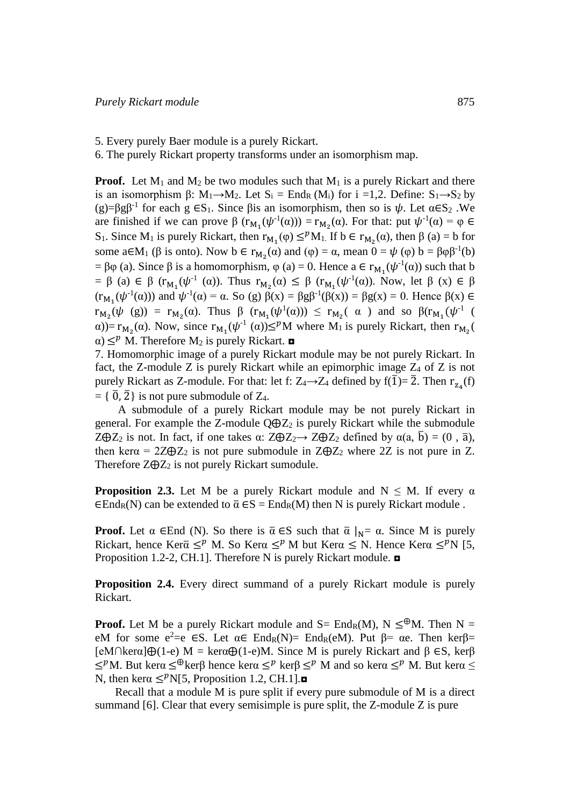5. Every purely Baer module is a purely Rickart.

6. The purely Rickart property transforms under an isomorphism map.

**Proof.** Let  $M_1$  and  $M_2$  be two modules such that  $M_1$  is a purely Rickart and there is an isomorphism  $\beta$ :  $M_1 \rightarrow M_2$ . Let  $S_i = End_R(M_i)$  for  $i = 1,2$ . Define:  $S_1 \rightarrow S_2$  by (g)= $\beta$ g $\beta$ <sup>-1</sup> for each g  $\epsilon S_1$ . Since  $\beta$ is an isomorphism, then so is  $\psi$ . Let  $\alpha \epsilon S_2$ . We are finished if we can prove  $\beta$   $(r_{M_1}(\psi^{-1}(\alpha))) = r_{M_2}(\alpha)$ . For that: put  $\psi^{-1}(\alpha) = \varphi \in$ S<sub>1</sub>. Since M<sub>1</sub> is purely Rickart, then  $r_{M_1}(\varphi) \leq^p M_1$ . If  $b \in r_{M_2}(\alpha)$ , then  $\beta(\alpha) = b$  for some  $a \in M_1$  ( $\beta$  is onto). Now  $b \in r_{M_2}(\alpha)$  and  $(\varphi) = \alpha$ , mean  $0 = \psi(\varphi)$   $b = \beta \varphi \beta^{-1}(b)$ =  $\beta \varphi$  (a). Since  $\beta$  is a homomorphism,  $\varphi$  (a) = 0. Hence  $a \in r_{M_1}(\psi^{-1}(\alpha))$  such that b  $= \beta$  (a)  $\in \beta$  ( $r_{M_1}(\psi^{-1}(\alpha))$ . Thus  $r_{M_2}(\alpha) \leq \beta$  ( $r_{M_1}(\psi^{-1}(\alpha))$ . Now, let  $\beta$  (x)  $\in \beta$  $(r_{M_1}(\psi^{-1}(\alpha)))$  and  $\psi^{-1}(\alpha) = \alpha$ . So (g)  $\beta(x) = \beta g \beta^{-1}(\beta(x)) = \beta g(x) = 0$ . Hence  $\beta(x) \in$  $r_{M_2}(\psi \text{ (g)}) = r_{M_2}(\alpha)$ . Thus  $\beta$   $(r_{M_1}(\psi^1(\alpha))) \le r_{M_2}(\alpha)$  and so  $\beta(r_{M_1}(\psi^1(\alpha)))$  $\alpha$ )=  $r_{M_2}(\alpha)$ . Now, since  $r_{M_1}(\psi^{\text{-}1}(\alpha)) \leq^p M$  where  $M_1$  is purely Rickart, then  $r_{M_2}(\alpha)$  $\alpha$ )  $\leq^p$  M. Therefore M<sub>2</sub> is purely Rickart. **□** 

7. Homomorphic image of a purely Rickart module may be not purely Rickart. In fact, the Z-module Z is purely Rickart while an epimorphic image Z<sup>4</sup> of Z is not purely Rickart as Z-module. For that: let f:  $Z_4 \rightarrow Z_4$  defined by  $f(\overline{1}) = \overline{2}$ . Then  $r_{Z_4}(f)$  $= \{ \overline{0}, \overline{2} \}$  is not pure submodule of  $Z_4$ .

 A submodule of a purely Rickart module may be not purely Rickart in general. For example the Z-module  $Q \oplus Z_2$  is purely Rickart while the submodule  $Z \oplus Z_2$  is not. In fact, if one takes  $\alpha$ :  $Z \oplus Z_2 \rightarrow Z \oplus Z_2$  defined by  $\alpha(a, \bar{b}) = (0, \bar{a})$ , then ker $\alpha = 2Z \oplus Z_2$  is not pure submodule in  $Z \oplus Z_2$  where 2Z is not pure in Z. Therefore  $Z \oplus Z_2$  is not purely Rickart sumodule.

**Proposition 2.3.** Let M be a purely Rickart module and  $N \leq M$ . If every  $\alpha$  $\epsilon$ End<sub>R</sub>(N) can be extended to  $\bar{\alpha} \epsilon S$  = End<sub>R</sub>(M) then N is purely Rickart module.

**Proof.** Let  $\alpha$  ∈End (N). So there is  $\overline{\alpha} \in S$  such that  $\overline{\alpha} \mid_{N} = \alpha$ . Since M is purely Rickart, hence Ker $\bar{a} \leq^p M$ . So Ker $\alpha \leq^p M$  but Ker $\alpha \leq N$ . Hence Ker $\alpha \leq^p N$  [5, Proposition 1.2-2, CH.1]. Therefore N is purely Rickart module. **□** 

**Proposition 2.4.** Every direct summand of a purely Rickart module is purely Rickart.

**Proof.** Let M be a purely Rickart module and  $S = End_R(M)$ ,  $N \leq^{\oplus} M$ . Then  $N =$ eM for some  $e^2 = e \in S$ . Let  $\alpha \in End_R(N) = End_R(eM)$ . Put  $\beta = \alpha e$ . Then ker $\beta =$ [eM∩kerα]⊕(1-e) M = kerα⊕(1-e)M. Since M is purely Rickart and β ∈S, kerβ  $\leq^p M$ . But kerα  $\leq^{\oplus}$ kerβ hence kerα  $\leq^p$  kerβ  $\leq^p M$  and so kerα  $\leq^p M$ . But kerα  $\leq$ N, then kera  $\leq^p N[5,$  Proposition 1.2, CH.1]. $\blacksquare$ 

 Recall that a module M is pure split if every pure submodule of M is a direct summand [6]. Clear that every semisimple is pure split, the Z-module Z is pure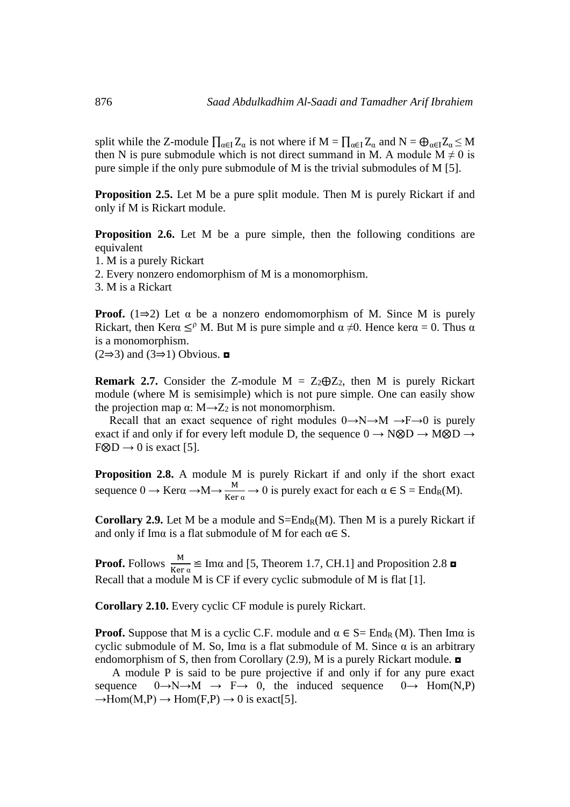split while the Z-module  $\prod_{\alpha \in I} Z_{\alpha}$  is not where if  $M = \prod_{\alpha \in I} Z_{\alpha}$  and  $N = \bigoplus_{\alpha \in I} Z_{\alpha} \leq M$ then N is pure submodule which is not direct summand in M. A module  $M \neq 0$  is pure simple if the only pure submodule of M is the trivial submodules of M [5].

**Proposition 2.5.** Let M be a pure split module. Then M is purely Rickart if and only if M is Rickart module.

**Proposition 2.6.** Let M be a pure simple, then the following conditions are equivalent

1. M is a purely Rickart

2. Every nonzero endomorphism of M is a monomorphism.

3. M is a Rickart

**Proof.** (1⇒2) Let  $\alpha$  be a nonzero endomomorphism of M. Since M is purely Rickart, then Ker $\alpha \leq^{\rho} M$ . But M is pure simple and  $\alpha \neq 0$ . Hence ker $\alpha = 0$ . Thus  $\alpha$ is a monomorphism.

 $(2\Rightarrow 3)$  and  $(3\Rightarrow 1)$  Obvious. **□** 

**Remark 2.7.** Consider the Z-module  $M = Z_2 \oplus Z_2$ , then M is purely Rickart module (where M is semisimple) which is not pure simple. One can easily show the projection map  $\alpha$ : M $\rightarrow$ Z<sub>2</sub> is not monomorphism.

Recall that an exact sequence of right modules  $0 \rightarrow N \rightarrow M \rightarrow F \rightarrow 0$  is purely exact if and only if for every left module D, the sequence  $0 \rightarrow N \otimes D \rightarrow M \otimes D \rightarrow$  $F \otimes D \rightarrow 0$  is exact [5].

**Proposition 2.8.** A module M is purely Rickart if and only if the short exact sequence  $0 \to \text{Ker}\alpha \to M \to \frac{M}{\text{Ker}\alpha} \to 0$  is purely exact for each  $\alpha \in S = \text{End}_{R}(M)$ .

**Corollary 2.9.** Let M be a module and  $S = End_R(M)$ . Then M is a purely Rickart if and only if Ima is a flat submodule of M for each  $\alpha \in S$ .

**Proof.** Follows  $\frac{M}{Ker \alpha} \cong \text{Im}\alpha$  and [5, Theorem 1.7, CH.1] and Proposition 2.8  $\Box$ Recall that a module M is CF if every cyclic submodule of M is flat [1].

**Corollary 2.10.** Every cyclic CF module is purely Rickart.

**Proof.** Suppose that M is a cyclic C.F. module and  $\alpha \in S = \text{End}_{R}(M)$ . Then Ima is cyclic submodule of M. So, Ima is a flat submodule of M. Since  $\alpha$  is an arbitrary endomorphism of S, then from Corollary (2.9), M is a purely Rickart module. ◘

 A module P is said to be pure projective if and only if for any pure exact sequence  $0 \rightarrow N \rightarrow M \rightarrow F \rightarrow 0$ , the induced sequence  $0 \rightarrow Hom(N,P)$  $\rightarrow$ Hom(M,P)  $\rightarrow$  Hom(F,P)  $\rightarrow$  0 is exact[5].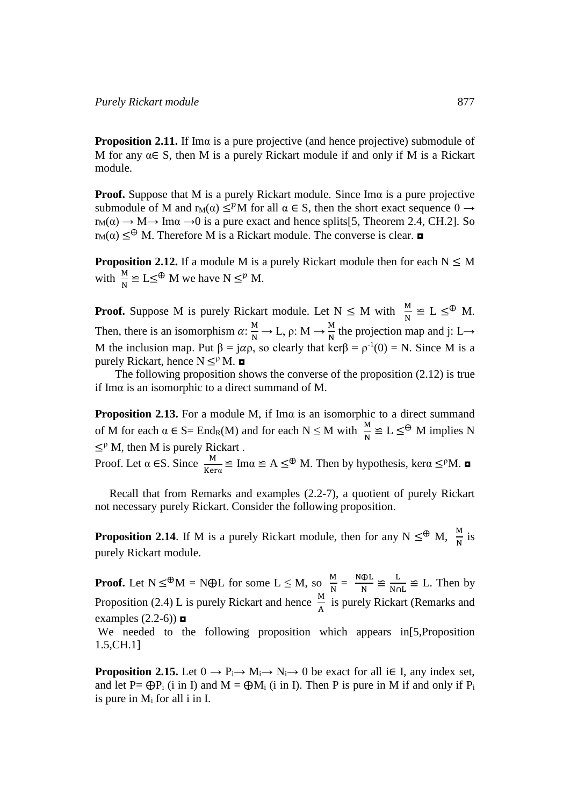**Proposition 2.11.** If Imα is a pure projective (and hence projective) submodule of M for any  $\alpha \in S$ , then M is a purely Rickart module if and only if M is a Rickart module.

**Proof.** Suppose that M is a purely Rickart module. Since Imα is a pure projective submodule of M and  $r_M(\alpha) \leq^p M$  for all  $\alpha \in S$ , then the short exact sequence  $0 \rightarrow$  $r_M(\alpha) \rightarrow M \rightarrow Im\alpha \rightarrow 0$  is a pure exact and hence splits[5, Theorem 2.4, CH.2]. So  $r_M(\alpha) \leq^{\oplus} M$ . Therefore M is a Rickart module. The converse is clear.  $\Box$ 

**Proposition 2.12.** If a module M is a purely Rickart module then for each  $N \leq M$ with  $\frac{M}{N} \cong L \leq^{\oplus} M$  we have  $N \leq^p M$ .

**Proof.** Suppose M is purely Rickart module. Let  $N \le M$  with  $\frac{M}{N} \cong L \le \mathcal{P}$  M. Then, there is an isomorphism  $\alpha: \frac{M}{N} \to L$ ,  $\rho: M \to \frac{M}{N}$  $\frac{M}{N}$  the projection map and j: L $\rightarrow$ M the inclusion map. Put  $\beta = j\alpha \rho$ , so clearly that ker $\beta = \rho^{-1}(0) = N$ . Since M is a purely Rickart, hence  $N \leq^{\rho} M$ .

 The following proposition shows the converse of the proposition (2.12) is true if Imα is an isomorphic to a direct summand of M.

**Proposition 2.13.** For a module M, if Ima is an isomorphic to a direct summand of M for each  $\alpha \in S = \text{End}_R(M)$  and for each  $N \leq M$  with  $\frac{M}{N} \cong L \leq \mathcal{P}$  M implies N  $\leq^{\rho} M$ , then M is purely Rickart.

Proof. Let  $\alpha \in S$ . Since  $\frac{M}{M}$  $\frac{M}{Kera} \cong \text{Im}\alpha \cong A \leq^{\oplus} M$ . Then by hypothesis, ker $\alpha \leq^{\circ} M$ .

 Recall that from Remarks and examples (2.2-7), a quotient of purely Rickart not necessary purely Rickart. Consider the following proposition.

**Proposition 2.14**. If M is a purely Rickart module, then for any  $N \leq N$ ,  $\frac{M}{N}$  is purely Rickart module.

**Proof.** Let  $N \leq^{\oplus} M = N \oplus L$  for some  $L \leq M$ , so  $\frac{M}{N} = \frac{N \oplus L}{N}$  $\frac{\oplus L}{N} \cong \frac{L}{Nc}$  $\frac{E}{N \cap L} \cong L$ . Then by Proposition (2.4) L is purely Rickart and hence  $\frac{M}{A}$  is purely Rickart (Remarks and examples  $(2.2-6)$ We needed to the following proposition which appears in [5, Proposition 1.5,CH.1]

**Proposition 2.15.** Let  $0 \to P_i \to M_i \to N_i \to 0$  be exact for all i $\in$  I, any index set, and let P=  $\bigoplus P_i$  (i in I) and M =  $\bigoplus M_i$  (i in I). Then P is pure in M if and only if P<sub>i</sub> is pure in  $M_i$  for all i in I.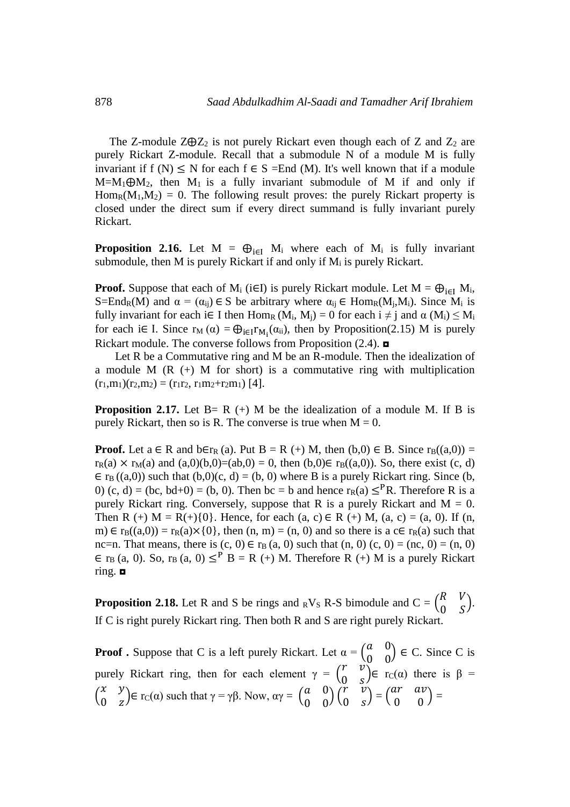The Z-module  $Z\oplus Z_2$  is not purely Rickart even though each of Z and  $Z_2$  are purely Rickart Z-module. Recall that a submodule N of a module M is fully invariant if f (N)  $\leq$  N for each f  $\in$  S = End (M). It's well known that if a module  $M=M_1\oplus M_2$ , then  $M_1$  is a fully invariant submodule of M if and only if  $Hom_R(M_1,M_2) = 0$ . The following result proves: the purely Rickart property is closed under the direct sum if every direct summand is fully invariant purely Rickart.

**Proposition 2.16.** Let  $M = \bigoplus_{i \in I} M_i$  where each of  $M_i$  is fully invariant submodule, then M is purely Rickart if and only if  $M_i$  is purely Rickart.

**Proof.** Suppose that each of M<sub>i</sub> (i $\in$ I) is purely Rickart module. Let M =  $\bigoplus_{i\in I} M_i$ , S=End<sub>R</sub>(M) and  $\alpha = (\alpha_{ij}) \in S$  be arbitrary where  $\alpha_{ij} \in \text{Hom}_{R}(M_{i},M_{i})$ . Since  $M_{i}$  is fully invariant for each i $\in$  I then Hom<sub>R</sub> (M<sub>i</sub>, M<sub>j</sub>) = 0 for each i  $\neq$  j and  $\alpha$  (M<sub>i</sub>)  $\leq$  M<sub>i</sub> for each i $\in$  I. Since  $r_M(\alpha) = \bigoplus_{i \in I} r_{M_i}(\alpha_{ii})$ , then by Proposition(2.15) M is purely Rickart module. The converse follows from Proposition (2.4). ◘

Let R be a Commutative ring and M be an R-module. Then the idealization of a module  $M (R (+) M for short)$  is a commutative ring with multiplication  $(r_1,m_1)(r_2,m_2) = (r_1r_2, r_1m_2+r_2m_1)$  [4].

**Proposition 2.17.** Let  $B = R$  (+) M be the idealization of a module M. If B is purely Rickart, then so is R. The converse is true when  $M = 0$ .

**Proof.** Let  $a \in R$  and  $b \in r_R$  (a). Put  $B = R$  (+) M, then  $(b,0) \in B$ . Since  $r_B((a,0)) =$  $r_R(a) \times r_M(a)$  and  $(a,0)(b,0)=(ab,0) = 0$ , then  $(b,0) \in r_B((a,0))$ . So, there exist  $(c, d)$  $\in$  r<sub>B</sub> ((a,0)) such that (b,0)(c, d) = (b, 0) where B is a purely Rickart ring. Since (b, 0) (c, d) = (bc, bd+0) = (b, 0). Then bc = b and hence  $r_R(a) \leq^P R$ . Therefore R is a purely Rickart ring. Conversely, suppose that R is a purely Rickart and  $M = 0$ . Then R (+) M = R(+){0}. Hence, for each (a, c)  $\in$  R (+) M, (a, c) = (a, 0). If (n, m)  $\in$  r<sub>B</sub>((a,0)) = r<sub>R</sub>(a)×{0}, then (n, m) = (n, 0) and so there is a c $\in$  r<sub>R</sub>(a) such that nc=n. That means, there is  $(c, 0) \in r_B(a, 0)$  such that  $(n, 0)$   $(c, 0) = (nc, 0) = (n, 0)$  $\in$  r<sub>B</sub> (a, 0). So, r<sub>B</sub> (a, 0)  $\leq$ <sup>P</sup> B = R (+) M. Therefore R (+) M is a purely Rickart ring. ◘

**Proposition 2.18.** Let R and S be rings and <sub>R</sub>V<sub>S</sub> R-S bimodule and  $C = \begin{pmatrix} R & V \\ 0 & S \end{pmatrix}$  $\begin{pmatrix} 0 & y \\ 0 & z \end{pmatrix}$ . If C is right purely Rickart ring. Then both R and S are right purely Rickart.

**Proof .** Suppose that C is a left purely Rickart. Let  $\alpha = \begin{pmatrix} a & 0 \\ 0 & a \end{pmatrix}$  $\begin{pmatrix} a & 0 \\ 0 & 0 \end{pmatrix} \in C$ . Since C is purely Rickart ring, then for each element  $\gamma = \begin{pmatrix} r & v \\ 0 & r \end{pmatrix}$  $\begin{pmatrix} 0 & s \end{pmatrix} \in r_C(\alpha)$  there is  $\beta =$  $\begin{pmatrix} x & y \\ 0 & z \end{pmatrix}$  $\begin{pmatrix} x & y \\ 0 & z \end{pmatrix} \in \text{rc}(\alpha)$  such that  $\gamma = \gamma \beta$ . Now,  $\alpha \gamma = \begin{pmatrix} a & 0 \\ 0 & 0 \end{pmatrix}$  $\begin{pmatrix} a & 0 \\ 0 & 0 \end{pmatrix} \begin{pmatrix} r & v \\ 0 & s \end{pmatrix}$  $\begin{pmatrix} r & v \\ 0 & s \end{pmatrix} = \begin{pmatrix} ar & av \\ 0 & 0 \end{pmatrix}$  $\begin{pmatrix} 0 & 0 \\ 0 & 0 \end{pmatrix}$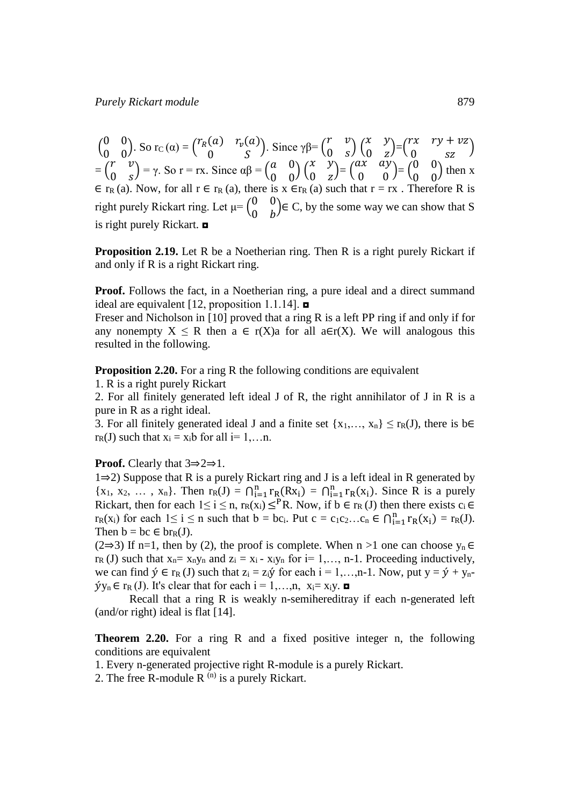$\begin{pmatrix} 0 & 0 \\ 0 & 0 \end{pmatrix}$  $\begin{pmatrix} 0 & 0 \\ 0 & 0 \end{pmatrix}$ . So rc (a) =  $\begin{pmatrix} r_R(a) & r_v(a) \\ 0 & S \end{pmatrix}$ (a)  $r_v(a)$ ). Since  $\gamma \beta = \begin{pmatrix} r & v \\ 0 & s \end{pmatrix}$  $\begin{pmatrix} r & v \\ 0 & s \end{pmatrix} \begin{pmatrix} x & y \\ 0 & z \end{pmatrix}$  $\begin{pmatrix} x & y \\ 0 & z \end{pmatrix} = \begin{pmatrix} rx & ry + vz \\ 0 & sz \end{pmatrix}$  $\begin{pmatrix} 0 & y & v_2 \\ 0 & sz & \end{pmatrix}$  $=\begin{pmatrix} r & v \\ 0 & r \end{pmatrix}$  $\begin{pmatrix} r & v \\ 0 & s \end{pmatrix} = \gamma$ . So r = rx. Since  $\alpha\beta = \begin{pmatrix} a & 0 \\ 0 & 0 \end{pmatrix}$  $\begin{pmatrix} a & 0 \\ 0 & 0 \end{pmatrix} \begin{pmatrix} x & y \\ 0 & z \end{pmatrix}$  $\begin{pmatrix} x & y \\ 0 & z \end{pmatrix} = \begin{pmatrix} ax & ay \\ 0 & 0 \end{pmatrix}$  $\begin{pmatrix} ax & ay \\ 0 & 0 \end{pmatrix} = \begin{pmatrix} 0 & 0 \\ 0 & 0 \end{pmatrix}$  $\begin{pmatrix} 0 & 0 \\ 0 & 0 \end{pmatrix}$  then x  $\epsilon$  rR (a). Now, for all r  $\epsilon$  rR (a), there is x  $\epsilon$  rR (a) such that r = rx. Therefore R is right purely Rickart ring. Let  $\mu = \begin{pmatrix} 0 & 0 \\ 0 & \mu \end{pmatrix}$  $\begin{pmatrix} 0 & b \\ 0 & b \end{pmatrix} \in C$ , by the some way we can show that S is right purely Rickart. ◘

**Proposition 2.19.** Let R be a Noetherian ring. Then R is a right purely Rickart if and only if R is a right Rickart ring.

**Proof.** Follows the fact, in a Noetherian ring, a pure ideal and a direct summand ideal are equivalent [12, proposition 1.1.14].  $\blacksquare$ 

Freser and Nicholson in [10] proved that a ring R is a left PP ring if and only if for any nonempty  $X \le R$  then  $a \in r(X)$  for all  $a \in r(X)$ . We will analogous this resulted in the following.

**Proposition 2.20.** For a ring R the following conditions are equivalent

1. R is a right purely Rickart

2. For all finitely generated left ideal J of R, the right annihilator of J in R is a pure in R as a right ideal.

3. For all finitely generated ideal J and a finite set  $\{x_1,..., x_n\} \leq r_R(J)$ , there is b∈  $r_R(J)$  such that  $x_i = x_i b$  for all  $i = 1,...n$ .

#### **Proof.** Clearly that 3⇒2⇒1.

1⇒2) Suppose that R is a purely Rickart ring and J is a left ideal in R generated by  ${x_1, x_2, ..., x_n}$ . Then  $r_R(J) = \bigcap_{i=1}^n r_R(Rx_i) = \bigcap_{i=1}^n r_R(x_i)$ . Since R is a purely Rickart, then for each  $1 \le i \le n$ ,  $r_R(x_i) \le {}^P R$ . Now, if  $b \in r_R (J)$  then there exists  $c_i \in$  $r_R(x_i)$  for each  $1 \le i \le n$  such that  $b = bc_i$ . Put  $c = c_1c_2...c_n \in \bigcap_{i=1}^n r_R(x_i) = r_R(J)$ . Then  $b = bc \in br_R(J)$ .

(2⇒3) If n=1, then by (2), the proof is complete. When n >1 one can choose  $y_n \in$  $r_R$  (J) such that  $x_n = x_ny_n$  and  $z_i = x_i - x_iy_n$  for  $i = 1, \ldots, n-1$ . Proceeding inductively, we can find  $\acute{v} \in r_R (J)$  such that  $z_i = z_i \acute{v}$  for each  $i = 1,...,n-1$ . Now, put  $y = \acute{v} + y_n$ - $\hat{y}y_n \in r_R (J)$ . It's clear that for each  $i = 1,...,n$ ,  $x_i = x_i y$ .

 Recall that a ring R is weakly n-semihereditray if each n-generated left (and/or right) ideal is flat [14].

**Theorem 2.20.** For a ring R and a fixed positive integer n, the following conditions are equivalent

1. Every n-generated projective right R-module is a purely Rickart.

2. The free R-module R  $^{(n)}$  is a purely Rickart.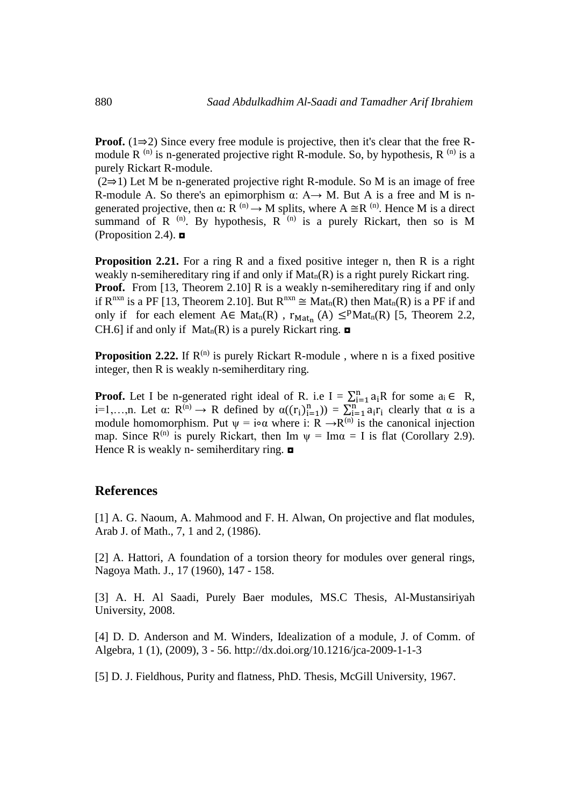**Proof.** ( $1\Rightarrow 2$ ) Since every free module is projective, then it's clear that the free Rmodule R  $^{(n)}$  is n-generated projective right R-module. So, by hypothesis, R  $^{(n)}$  is a purely Rickart R-module.

(2⇒1) Let M be n-generated projective right R-module. So M is an image of free R-module A. So there's an epimorphism  $\alpha$ : A $\rightarrow$  M. But A is a free and M is ngenerated projective, then  $\alpha: R^{(n)} \to M$  splits, where  $A \cong R^{(n)}$ . Hence M is a direct summand of R  $^{(n)}$ . By hypothesis, R  $^{(n)}$  is a purely Rickart, then so is M (Proposition 2.4).  $\blacksquare$ 

**Proposition 2.21.** For a ring R and a fixed positive integer n, then R is a right weakly n-semihereditary ring if and only if  $Mat_n(R)$  is a right purely Rickart ring. **Proof.** From [13, Theorem 2.10] R is a weakly n-semihereditary ring if and only if  $R^{nxn}$  is a PF [13, Theorem 2.10]. But  $R^{nxn} \cong Mat_n(R)$  then  $Mat_n(R)$  is a PF if and only if for each element  $A \in Mat_n(R)$ ,  $r_{Mat_n}(A) \leq^p Mat_n(R)$  [5, Theorem 2.2, CH.6] if and only if  $Mat_n(R)$  is a purely Rickart ring.  $\blacksquare$ 

**Proposition 2.22.** If  $R^{(n)}$  is purely Rickart R-module, where n is a fixed positive integer, then R is weakly n-semiherditary ring.

**Proof.** Let I be n-generated right ideal of R. i.e I =  $\sum_{i=1}^{n} a_i R$  for some  $a_i \in R$ , i=1,...,n. Let  $\alpha: R^{(n)} \to R$  defined by  $\alpha((r_i)_{i=1}^n) = \sum_{i=1}^n a_i r_i$  clearly that  $\alpha$  is a module homomorphism. Put  $\psi = i \circ \alpha$  where i: R  $\rightarrow R^{(n)}$  is the canonical injection map. Since  $R^{(n)}$  is purely Rickart, then Im  $\psi = \text{Im}\alpha = I$  is flat (Corollary 2.9). Hence R is weakly n- semiherditary ring.  $\Box$ 

## **References**

[1] A. G. Naoum, A. Mahmood and F. H. Alwan, On projective and flat modules, Arab J. of Math., 7, 1 and 2, (1986).

[2] A. Hattori, A foundation of a torsion theory for modules over general rings, Nagoya Math. J., 17 (1960), 147 - 158.

[3] A. H. Al Saadi, Purely Baer modules, MS.C Thesis, Al-Mustansiriyah University, 2008.

[4] D. D. Anderson and M. Winders, Idealization of a module, J. of Comm. of Algebra, 1 (1), (2009), 3 - 56. <http://dx.doi.org/10.1216/jca-2009-1-1-3>

[5] D. J. Fieldhous, Purity and flatness, PhD. Thesis, McGill University, 1967.